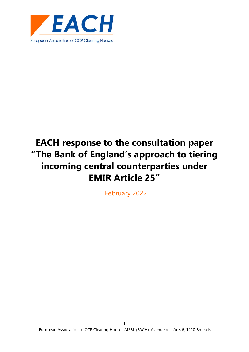

February 2022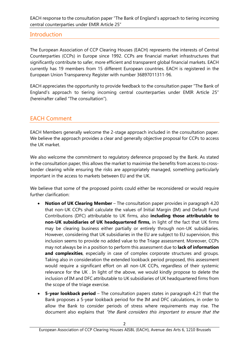## **Introduction**

The European Association of CCP Clearing Houses (EACH) represents the interests of Central Counterparties (CCPs) in Europe since 1992. CCPs are financial market infrastructures that significantly contribute to safer, more efficient and transparent global financial markets. EACH currently has 19 members from 15 different European countries. EACH is registered in the European Union Transparency Register with number 36897011311-96.

EACH appreciates the opportunity to provide feedback to the consultation paper "The Bank of England's approach to tiering incoming central counterparties under EMIR Article 25" (hereinafter called "The consultation").

## EACH Comment

EACH Members generally welcome the 2-stage approach included in the consultation paper. We believe the approach provides a clear and generally objective proposal for CCPs to access the UK market.

We also welcome the commitment to regulatory deference proposed by the Bank. As stated in the consultation paper, this allows the market to maximise the benefits from access to crossborder clearing while ensuring the risks are appropriately managed, something particularly important in the access to markets between EU and the UK.

We believe that some of the proposed points could either be reconsidered or would require further clarification:

- **Notion of UK Clearing Member** The consultation paper provides in paragraph 4.20 that non-UK CCPs shall calculate the values of Initial Margin (IM) and Default Fund Contributions (DFC) attributable to UK firms, also **including those attributable to non-UK subsidiaries of UK headquartered firms,** in light of the fact that UK firms may be clearing business either partially or entirely through non-UK subsidiaries. However, considering that UK subsidiaries in the EU are subject to EU supervision, this inclusion seems to provide no added value to the Triage assessment. Moreover, CCPs may not always be in a position to perform this assessment due to **lack of information and complexities**, especially in case of complex corporate structures and groups. Taking also in consideration the extended lookback period proposed, this assessment would require a significant effort on all non-UK CCPs, regardless of their systemic relevance for the UK . In light of the above, we would kindly propose to delete the inclusion of IM and DFC attributable to UK subsidiaries of UK headquartered firms from the scope of the triage exercise.
- **5-year lookback period** The consultation papers states in paragraph 4.21 that the Bank proposes a 5-year lookback period for the IM and DFC calculations, in order to allow the Bank to consider periods of stress where requirements may rise. The document also explains that "the Bank considers this important to ensure that the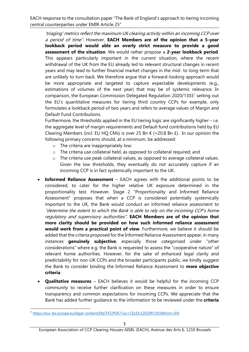'triaging' metrics reflect the maximum UK clearing activity within an incoming CCP over a period of time". However, **EACH Members are of the opinion that a 5-year lookback period would able an overly strict measure to provide a good assessment of the situation**. We would rather propose a **2-year lookback period**. This appears particularly important in the current situation, where the recent withdrawal of the UK from the EU already led to relevant structural changes in recent years and may lead to further financial market changes in the mid- to long-term that are unlikely to turn back. We therefore argue that a forward-looking approach would be more appropriate and targeted to capture expectable developments (e.g., estimations of volumes of the next year) that may be of systemic relevance. In comparison, the European Commission Delegated Regulation 2020/[1](#page-2-0)303<sup>1</sup> setting out the EU's quantitative measures for tiering third country CCPs for example, only formulates a lookback period of two years and refers to average values of Margin and Default Fund Contributions.

Furthermore, the thresholds applied in the EU tiering logic are significantly higher – i.e. the aggregate level of margin requirements and Default fund contributions held by EU Clearing Members (incl. EU HQ CMs) is over 25 Bn  $\epsilon$  (=20.8 Bn £). In our opinion the following primary concerns should, at a minimum, be addressed:

- o The criteria are inappropriately low;
- o The criteria use collateral held, as opposed to collateral required; and
- o The criteria use peak collateral values, as opposed to average collateral values. Given the low thresholds, they eventually do not accurately capture if an incoming CCP is in fact systemically important to the UK.
- **Informed Reliance Assessment** EACH agrees with the additional points to be considered, to cater for the higher relative UK exposure determined in the proportionality test. However, Stage 2 "Proportionality and Informed Reliance Assessment" proposes that when a CCP is considered potentially systemically important to the UK, the Bank would conduct an informed reliance assessment to "determine the extent to which the Bank is able to rely on the incoming CCP's home regulatory and supervisory authorities". **EACH Members are of the opinion that more clarity should be provided on how such informed reliance assessment would work from a practical point of view**. Furthermore, we believe it should be added that the criteria proposed for the Informed Reliance Assessment appear, in many instances **genuinely subjective**, especially those categorised under "other considerations" where e.g. the Bank is requested to assess the "cooperative nature" of relevant home authorities. However, for the sake of enhanced legal clarity and predictability for non-UK CCPs and the broader participants public, we kindly suggest the Bank to consider binding the Informed Reliance Assessment to **more objective criteria**.
- **Qualitative measures** EACH believes it would be helpful for the incoming CCP community to receive further clarification on these measures in order to ensure transparency and common expectations for incoming CCPs. We appreciate that the Bank has added further guidance to the information to be reviewed under the **criteria**

<span id="page-2-0"></span><sup>1</sup> <https://eur-lex.europa.eu/legal-content/EN/TXT/PDF/?uri=CELEX:32020R1303&from=EN>